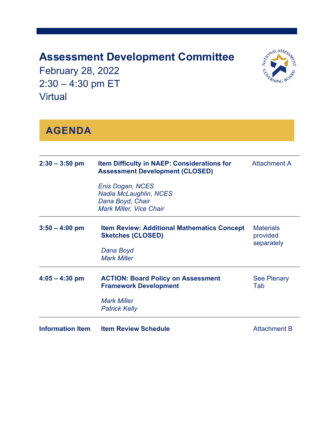## **Assessment Development Committee**

February 28, 2022 2:30 – 4:30 pm ET Virtual



## **AGENDA**

| $2:30 - 3:50$ pm        | <b>Item Difficulty in NAEP: Considerations for</b><br><b>Assessment Development (CLOSED)</b>                            | <b>Attachment A</b>       |  |
|-------------------------|-------------------------------------------------------------------------------------------------------------------------|---------------------------|--|
|                         | Enis Dogan, NCES<br>Nadia McLaughlin, NCES<br>Dana Boyd, Chair<br><b>Mark Miller, Vice Chair</b>                        |                           |  |
| $3:50 - 4:00$ pm        | <b>Item Review: Additional Mathematics Concept</b><br><b>Sketches (CLOSED)</b><br>Dana Boyd<br><b>Mark Miller</b>       |                           |  |
| $4:05 - 4:30$ pm        | <b>ACTION: Board Policy on Assessment</b><br><b>Framework Development</b><br><b>Mark Miller</b><br><b>Patrick Kelly</b> | <b>See Plenary</b><br>Tab |  |
| <b>Information Item</b> | <b>Item Review Schedule</b>                                                                                             | <b>Attachment B</b>       |  |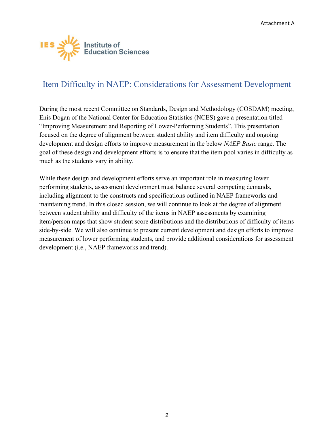<span id="page-1-0"></span>

## Item Difficulty in NAEP: Considerations for Assessment Development

During the most recent Committee on Standards, Design and Methodology (COSDAM) meeting, Enis Dogan of the National Center for Education Statistics (NCES) gave a presentation titled "Improving Measurement and Reporting of Lower-Performing Students". This presentation focused on the degree of alignment between student ability and item difficulty and ongoing development and design efforts to improve measurement in the below *NAEP Basic* range. The goal of these design and development efforts is to ensure that the item pool varies in difficulty as much as the students vary in ability.

While these design and development efforts serve an important role in measuring lower performing students, assessment development must balance several competing demands, including alignment to the constructs and specifications outlined in NAEP frameworks and maintaining trend. In this closed session, we will continue to look at the degree of alignment between student ability and difficulty of the items in NAEP assessments by examining item/person maps that show student score distributions and the distributions of difficulty of items side-by-side. We will also continue to present current development and design efforts to improve measurement of lower performing students, and provide additional considerations for assessment development (i.e., NAEP frameworks and trend).